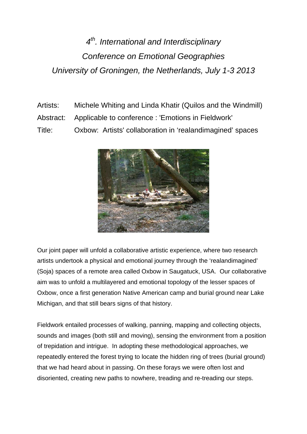## *4th. International and Interdisciplinary Conference on Emotional Geographies University of Groningen, the Netherlands, July 1-3 2013*

Artists: Michele Whiting and Linda Khatir (Quilos and the Windmill) Abstract: Applicable to conference : 'Emotions in Fieldwork' Title: Oxbow: Artists' collaboration in 'realandimagined' spaces



Our joint paper will unfold a collaborative artistic experience, where two research artists undertook a physical and emotional journey through the 'realandimagined' (Soja) spaces of a remote area called Oxbow in Saugatuck, USA. Our collaborative aim was to unfold a multilayered and emotional topology of the lesser spaces of Oxbow, once a first generation Native American camp and burial ground near Lake Michigan, and that still bears signs of that history.

Fieldwork entailed processes of walking, panning, mapping and collecting objects, sounds and images (both still and moving), sensing the environment from a position of trepidation and intrigue. In adopting these methodological approaches, we repeatedly entered the forest trying to locate the hidden ring of trees (burial ground) that we had heard about in passing. On these forays we were often lost and disoriented, creating new paths to nowhere, treading and re-treading our steps.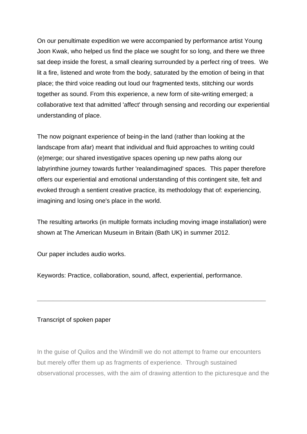On our penultimate expedition we were accompanied by performance artist Young Joon Kwak, who helped us find the place we sought for so long, and there we three sat deep inside the forest, a small clearing surrounded by a perfect ring of trees. We lit a fire, listened and wrote from the body, saturated by the emotion of being in that place; the third voice reading out loud our fragmented texts, stitching our words together as sound. From this experience, a new form of site-writing emerged; a collaborative text that admitted 'affect' through sensing and recording our experiential understanding of place.

The now poignant experience of being-in the land (rather than looking at the landscape from afar) meant that individual and fluid approaches to writing could (e)merge; our shared investigative spaces opening up new paths along our labyrinthine journey towards further 'realandimagined' spaces. This paper therefore offers our experiential and emotional understanding of this contingent site, felt and evoked through a sentient creative practice, its methodology that of: experiencing, imagining and losing one's place in the world.

The resulting artworks (in multiple formats including moving image installation) were shown at The American Museum in Britain (Bath UK) in summer 2012.

\_\_\_\_\_\_\_\_\_\_\_\_\_\_\_\_\_\_\_\_\_\_\_\_\_\_\_\_\_\_\_\_\_\_\_\_\_\_\_\_\_\_\_\_\_\_\_\_\_\_\_\_\_\_\_\_\_

Our paper includes audio works.

Keywords: Practice, collaboration, sound, affect, experiential, performance.

## Transcript of spoken paper

In the guise of Quilos and the Windmill we do not attempt to frame our encounters but merely offer them up as fragments of experience. Through sustained observational processes, with the aim of drawing attention to the picturesque and the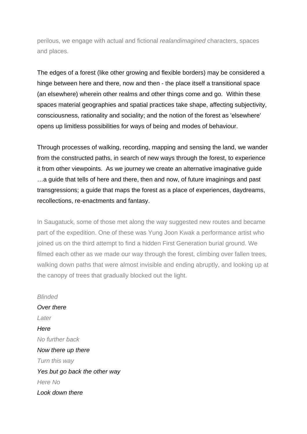perilous, we engage with actual and fictional *realandimagined* characters, spaces and places.

The edges of a forest (like other growing and flexible borders) may be considered a hinge between here and there, now and then - the place itself a transitional space (an elsewhere) wherein other realms and other things come and go. Within these spaces material geographies and spatial practices take shape, affecting subjectivity, consciousness, rationality and sociality; and the notion of the forest as 'elsewhere' opens up limitless possibilities for ways of being and modes of behaviour.

Through processes of walking, recording, mapping and sensing the land, we wander from the constructed paths, in search of new ways through the forest, to experience it from other viewpoints. As we journey we create an alternative imaginative guide …a guide that tells of here and there, then and now, of future imaginings and past transgressions; a guide that maps the forest as a place of experiences, daydreams, recollections, re-enactments and fantasy.

In Saugatuck, some of those met along the way suggested new routes and became part of the expedition. One of these was Yung Joon Kwak a performance artist who joined us on the third attempt to find a hidden First Generation burial ground. We filmed each other as we made our way through the forest, climbing over fallen trees, walking down paths that were almost invisible and ending abruptly, and looking up at the canopy of trees that gradually blocked out the light.

*Blinded Over there Later Here No further back Now there up there Turn this way Yes but go back the other way Here No Look down there*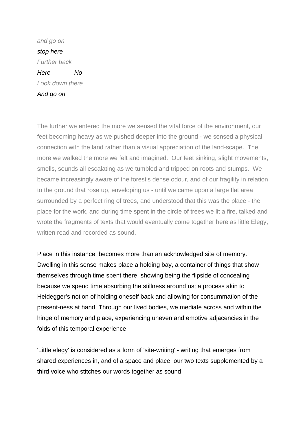*and go on stop here Further back Here No Look down there And go on* 

The further we entered the more we sensed the vital force of the environment, our feet becoming heavy as we pushed deeper into the ground - we sensed a physical connection with the land rather than a visual appreciation of the land-scape. The more we walked the more we felt and imagined. Our feet sinking, slight movements, smells, sounds all escalating as we tumbled and tripped on roots and stumps. We became increasingly aware of the forest's dense odour, and of our fragility in relation to the ground that rose up, enveloping us - until we came upon a large flat area surrounded by a perfect ring of trees, and understood that this was the place - the place for the work, and during time spent in the circle of trees we lit a fire, talked and wrote the fragments of texts that would eventually come together here as little Elegy, written read and recorded as sound.

Place in this instance, becomes more than an acknowledged site of memory. Dwelling in this sense makes place a holding bay, a container of things that show themselves through time spent there; showing being the flipside of concealing because we spend time absorbing the stillness around us; a process akin to Heidegger's notion of holding oneself back and allowing for consummation of the present-ness at hand. Through our lived bodies, we mediate across and within the hinge of memory and place, experiencing uneven and emotive adjacencies in the folds of this temporal experience.

'Little elegy' is considered as a form of 'site-writing' - writing that emerges from shared experiences in, and of a space and place; our two texts supplemented by a third voice who stitches our words together as sound.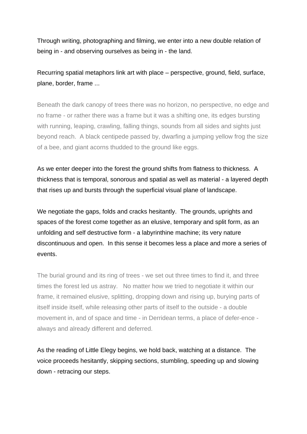Through writing, photographing and filming, we enter into a new double relation of being in - and observing ourselves as being in - the land.

Recurring spatial metaphors link art with place – perspective, ground, field, surface, plane, border, frame ...

Beneath the dark canopy of trees there was no horizon, no perspective, no edge and no frame - or rather there was a frame but it was a shifting one, its edges bursting with running, leaping, crawling, falling things, sounds from all sides and sights just beyond reach. A black centipede passed by, dwarfing a jumping yellow frog the size of a bee, and giant acorns thudded to the ground like eggs.

As we enter deeper into the forest the ground shifts from flatness to thickness. A thickness that is temporal, sonorous and spatial as well as material - a layered depth that rises up and bursts through the superficial visual plane of landscape.

We negotiate the gaps, folds and cracks hesitantly. The grounds, uprights and spaces of the forest come together as an elusive, temporary and split form, as an unfolding and self destructive form - a labyrinthine machine; its very nature discontinuous and open. In this sense it becomes less a place and more a series of events.

The burial ground and its ring of trees - we set out three times to find it, and three times the forest led us astray. No matter how we tried to negotiate it within our frame, it remained elusive, splitting, dropping down and rising up, burying parts of itself inside itself, while releasing other parts of itself to the outside - a double movement in, and of space and time - in Derridean terms, a place of defer-ence always and already different and deferred.

As the reading of Little Elegy begins, we hold back, watching at a distance. The voice proceeds hesitantly, skipping sections, stumbling, speeding up and slowing down - retracing our steps.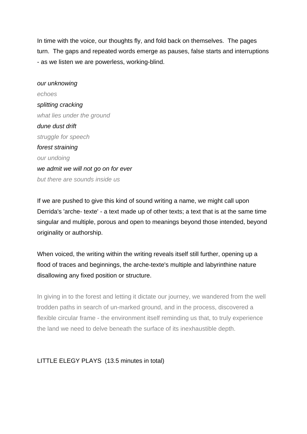In time with the voice, our thoughts fly, and fold back on themselves. The pages turn. The gaps and repeated words emerge as pauses, false starts and interruptions - as we listen we are powerless, working-blind.

*our unknowing echoes splitting cracking what lies under the ground dune dust drift struggle for speech forest straining our undoing we admit we will not go on for ever but there are sounds inside us*

If we are pushed to give this kind of sound writing a name, we might call upon Derrida's 'arche- texte' - a text made up of other texts; a text that is at the same time singular and multiple, porous and open to meanings beyond those intended, beyond originality or authorship.

When voiced, the writing within the writing reveals itself still further, opening up a flood of traces and beginnings, the arche-texte's multiple and labyrinthine nature disallowing any fixed position or structure.

In giving in to the forest and letting it dictate our journey, we wandered from the well trodden paths in search of un-marked ground, and in the process, discovered a flexible circular frame - the environment itself reminding us that, to truly experience the land we need to delve beneath the surface of its inexhaustible depth.

## LITTLE ELEGY PLAYS (13.5 minutes in total)